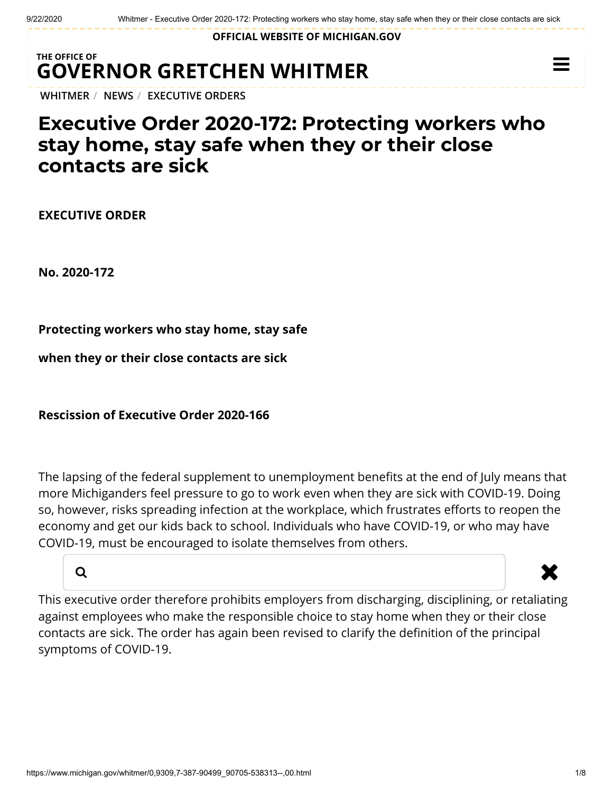**OFFICIAL WEBSITE OF [MICHIGAN.GOV](https://www.michigan.gov/)**

## **THE OFFICE OF GOVERNOR [GRETCHEN WHITMER](https://www.michigan.gov/whitmer/)**

**[WHITMER](https://www.michigan.gov/whitmer/)** / **[NEWS](https://www.michigan.gov/whitmer/0,9309,7-387-90499---,00.html)** / **[EXECUTIVE ORDERS](https://www.michigan.gov/whitmer/0,9309,7-387-90499_90705---,00.html)**

## **Executive Order 2020-172: Protecting workers who stay home, stay safe when they or their close contacts are sick**

**EXECUTIVE ORDER**

**No. 2020-172**

**Protecting workers who stay home, stay safe**

**when they or their close contacts are sick**

**Rescission of Executive Order 2020-166**

The lapsing of the federal supplement to unemployment benefits at the end of July means that more Michiganders feel pressure to go to work even when they are sick with COVID-19. Doing so, however, risks spreading infection at the workplace, which frustrates efforts to reopen the economy and get our kids back to school. Individuals who have COVID-19, or who may have COVID-19, must be encouraged to isolate themselves from others.



 $\equiv$ 

This executive order therefore prohibits employers from discharging, disciplining, or retaliating against employees who make the responsible choice to stay home when they or their close contacts are sick. The order has again been revised to clarify the definition of the principal symptoms of COVID-19.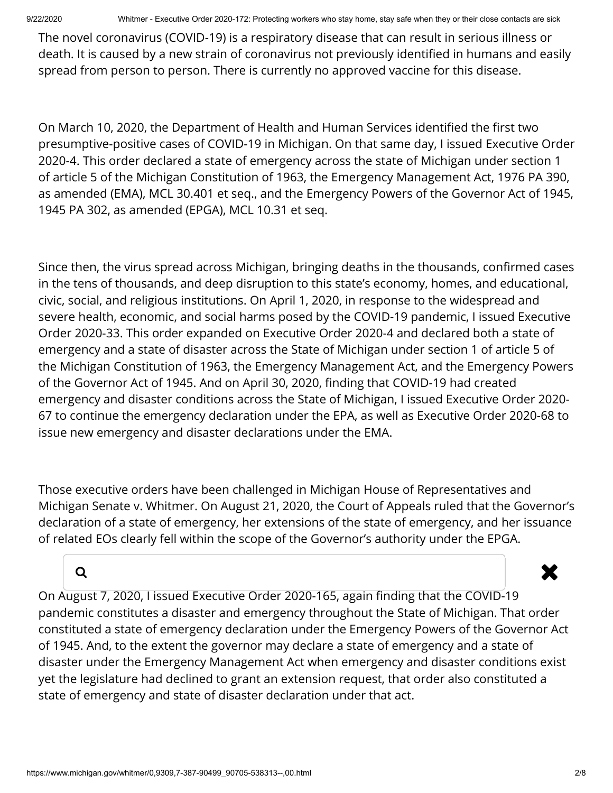9/22/2020 Whitmer - Executive Order 2020-172: Protecting workers who stay home, stay safe when they or their close contacts are sick

The novel coronavirus (COVID-19) is a respiratory disease that can result in serious illness or death. It is caused by a new strain of coronavirus not previously identified in humans and easily spread from person to person. There is currently no approved vaccine for this disease.

On March 10, 2020, the Department of Health and Human Services identified the first two presumptive-positive cases of COVID-19 in Michigan. On that same day, I issued Executive Order 2020-4. This order declared a state of emergency across the state of Michigan under section 1 of article 5 of the Michigan Constitution of 1963, the Emergency Management Act, 1976 PA 390, as amended (EMA), MCL 30.401 et seq., and the Emergency Powers of the Governor Act of 1945, 1945 PA 302, as amended (EPGA), MCL 10.31 et seq.

Since then, the virus spread across Michigan, bringing deaths in the thousands, confirmed cases in the tens of thousands, and deep disruption to this state's economy, homes, and educational, civic, social, and religious institutions. On April 1, 2020, in response to the widespread and severe health, economic, and social harms posed by the COVID-19 pandemic, I issued Executive Order 2020-33. This order expanded on Executive Order 2020-4 and declared both a state of emergency and a state of disaster across the State of Michigan under section 1 of article 5 of the Michigan Constitution of 1963, the Emergency Management Act, and the Emergency Powers of the Governor Act of 1945. And on April 30, 2020, finding that COVID-19 had created emergency and disaster conditions across the State of Michigan, I issued Executive Order 2020- 67 to continue the emergency declaration under the EPA, as well as Executive Order 2020-68 to issue new emergency and disaster declarations under the EMA.

Those executive orders have been challenged in Michigan House of Representatives and Michigan Senate v. Whitmer. On August 21, 2020, the Court of Appeals ruled that the Governor's declaration of a state of emergency, her extensions of the state of emergency, and her issuance of related EOs clearly fell within the scope of the Governor's authority under the EPGA.

## a **x**

On August 7, 2020, I issued Executive Order 2020-165, again finding that the COVID-19 pandemic constitutes a disaster and emergency throughout the State of Michigan. That order constituted a state of emergency declaration under the Emergency Powers of the Governor Act of 1945. And, to the extent the governor may declare a state of emergency and a state of disaster under the Emergency Management Act when emergency and disaster conditions exist yet the legislature had declined to grant an extension request, that order also constituted a state of emergency and state of disaster declaration under that act.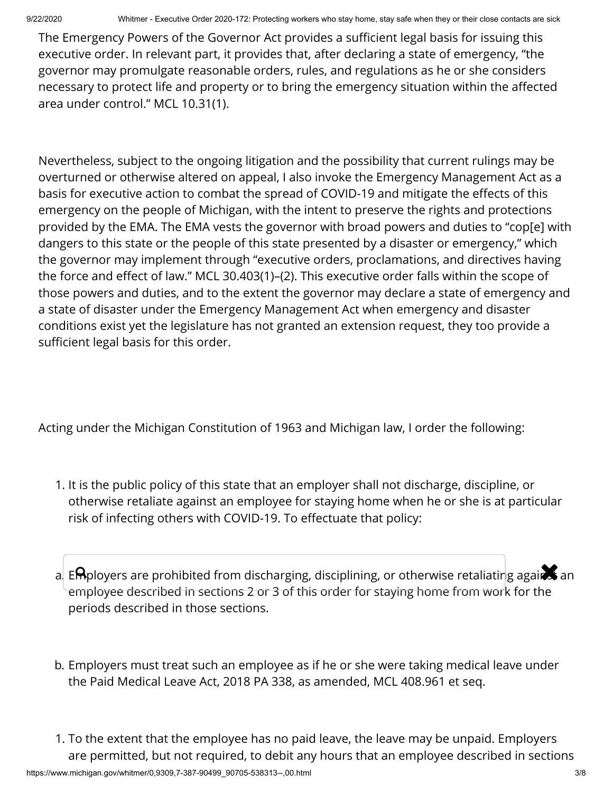The Emergency Powers of the Governor Act provides a sufficient legal basis for issuing this executive order. In relevant part, it provides that, after declaring a state of emergency, "the governor may promulgate reasonable orders, rules, and regulations as he or she considers necessary to protect life and property or to bring the emergency situation within the affected area under control." MCL 10.31(1).

Nevertheless, subject to the ongoing litigation and the possibility that current rulings may be overturned or otherwise altered on appeal, I also invoke the Emergency Management Act as a basis for executive action to combat the spread of COVID-19 and mitigate the effects of this emergency on the people of Michigan, with the intent to preserve the rights and protections provided by the EMA. The EMA vests the governor with broad powers and duties to "cop[e] with dangers to this state or the people of this state presented by a disaster or emergency," which the governor may implement through "executive orders, proclamations, and directives having the force and effect of law." MCL 30.403(1)–(2). This executive order falls within the scope of those powers and duties, and to the extent the governor may declare a state of emergency and a state of disaster under the Emergency Management Act when emergency and disaster conditions exist yet the legislature has not granted an extension request, they too provide a sufficient legal basis for this order.

Acting under the Michigan Constitution of 1963 and Michigan law, I order the following:

- 1. It is the public policy of this state that an employer shall not discharge, discipline, or otherwise retaliate against an employee for staying home when he or she is at particular risk of infecting others with COVID-19. To effectuate that policy:
- a. E $\mathsf{R}$ ployers are prohibited from discharging, disciplining, or otherwise retaliating against an employee described in sections 2 or 3 of this order for staying home from work for the periods described in those sections.
- b. Employers must treat such an employee as if he or she were taking medical leave under the Paid Medical Leave Act, 2018 PA 338, as amended, MCL 408.961 et seq.
- 1. To the extent that the employee has no paid leave, the leave may be unpaid. Employers are permitted, but not required, to debit any hours that an employee described in sections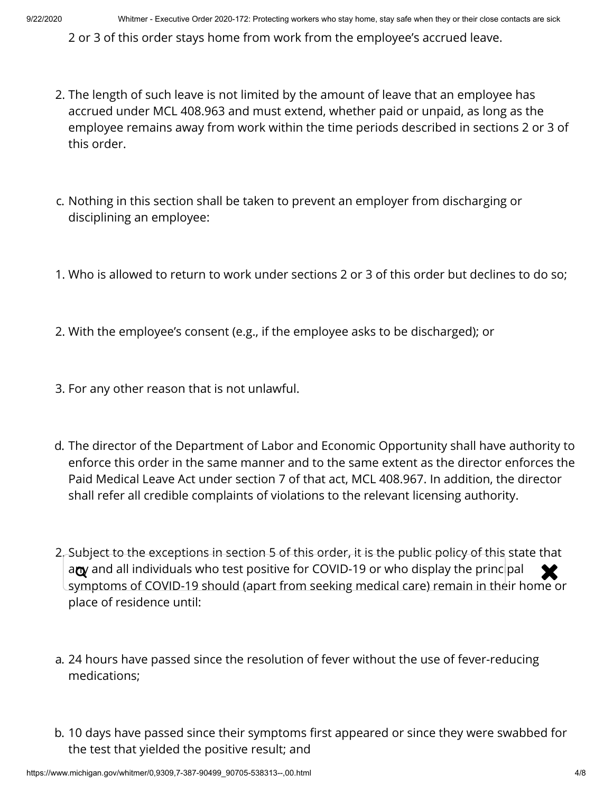2 or 3 of this order stays home from work from the employee's accrued leave.

- 2. The length of such leave is not limited by the amount of leave that an employee has accrued under MCL 408.963 and must extend, whether paid or unpaid, as long as the employee remains away from work within the time periods described in sections 2 or 3 of this order.
- c. Nothing in this section shall be taken to prevent an employer from discharging or disciplining an employee:
- 1. Who is allowed to return to work under sections 2 or 3 of this order but declines to do so;
- 2. With the employee's consent (e.g., if the employee asks to be discharged); or
- 3. For any other reason that is not unlawful.
- d. The director of the Department of Labor and Economic Opportunity shall have authority to enforce this order in the same manner and to the same extent as the director enforces the Paid Medical Leave Act under section 7 of that act, MCL 408.967. In addition, the director shall refer all credible complaints of violations to the relevant licensing authority.
- 2. Subject to the exceptions in section 5 of this order, it is the public policy of this state that  $\alpha$  and all individuals who test positive for COVID-19 or who display the principal  $\alpha$ symptoms of COVID-19 should (apart from seeking medical care) remain in their home or place of residence until:
- a. 24 hours have passed since the resolution of fever without the use of fever-reducing medications;
- b. 10 days have passed since their symptoms first appeared or since they were swabbed for the test that yielded the positive result; and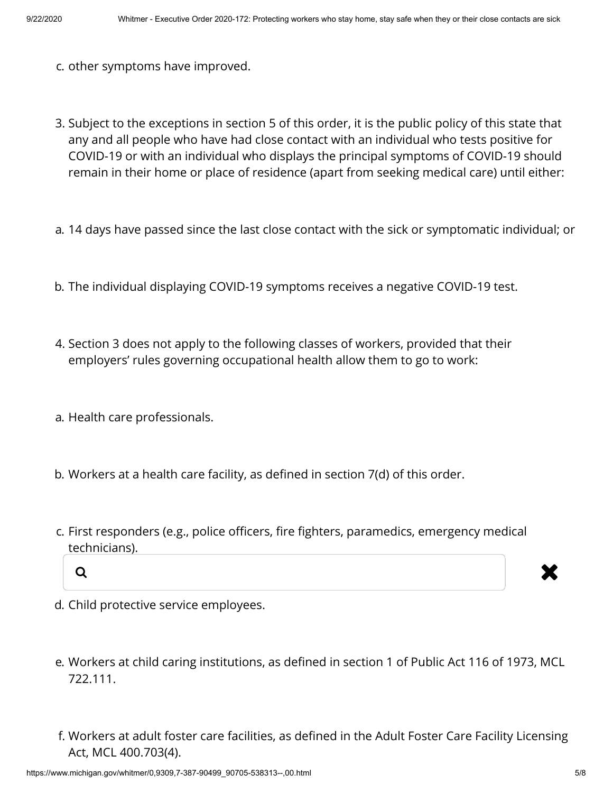- c. other symptoms have improved.
- 3. Subject to the exceptions in section 5 of this order, it is the public policy of this state that any and all people who have had close contact with an individual who tests positive for COVID-19 or with an individual who displays the principal symptoms of COVID-19 should remain in their home or place of residence (apart from seeking medical care) until either:
- a. 14 days have passed since the last close contact with the sick or symptomatic individual; or
- b. The individual displaying COVID-19 symptoms receives a negative COVID-19 test.
- 4. Section 3 does not apply to the following classes of workers, provided that their employers' rules governing occupational health allow them to go to work:
- a. Health care professionals.
- b. Workers at a health care facility, as defined in section 7(d) of this order.
- c. First responders (e.g., police officers, fire fighters, paramedics, emergency medical technicians).





- d. Child protective service employees.
- e. Workers at child caring institutions, as defined in section 1 of Public Act 116 of 1973, MCL 722.111.
- f. Workers at adult foster care facilities, as defined in the Adult Foster Care Facility Licensing Act, MCL 400.703(4).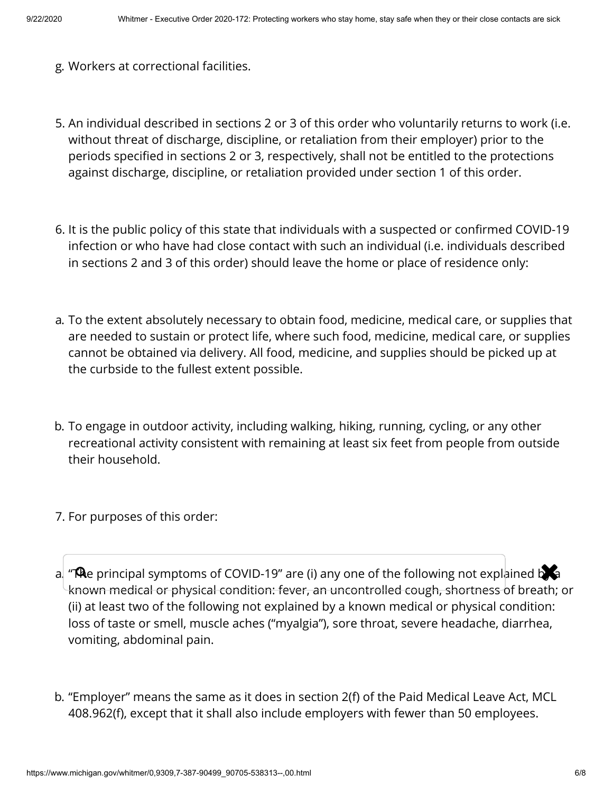- g. Workers at correctional facilities.
- 5. An individual described in sections 2 or 3 of this order who voluntarily returns to work (i.e. without threat of discharge, discipline, or retaliation from their employer) prior to the periods specified in sections 2 or 3, respectively, shall not be entitled to the protections against discharge, discipline, or retaliation provided under section 1 of this order.
- 6. It is the public policy of this state that individuals with a suspected or confirmed COVID-19 infection or who have had close contact with such an individual (i.e. individuals described in sections 2 and 3 of this order) should leave the home or place of residence only:
- a. To the extent absolutely necessary to obtain food, medicine, medical care, or supplies that are needed to sustain or protect life, where such food, medicine, medical care, or supplies cannot be obtained via delivery. All food, medicine, and supplies should be picked up at the curbside to the fullest extent possible.
- b. To engage in outdoor activity, including walking, hiking, running, cycling, or any other recreational activity consistent with remaining at least six feet from people from outside their household.
- 7. For purposes of this order:
- a. "**Th**e principal symptoms of COVID-19" are (i) any one of the following not explained by a known medical or physical condition: fever, an uncontrolled cough, shortness of breath; or (ii) at least two of the following not explained by a known medical or physical condition: loss of taste or smell, muscle aches ("myalgia"), sore throat, severe headache, diarrhea, vomiting, abdominal pain.
- b. "Employer" means the same as it does in section 2(f) of the Paid Medical Leave Act, MCL 408.962(f), except that it shall also include employers with fewer than 50 employees.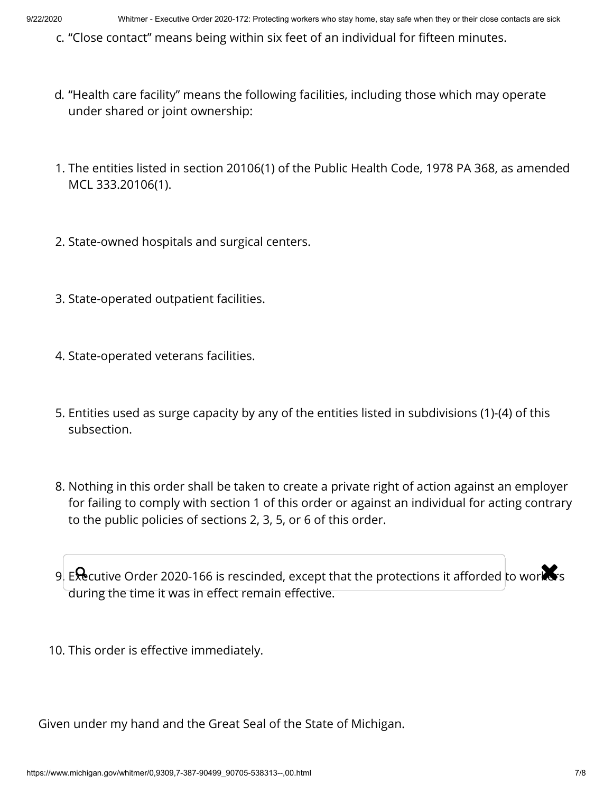c. "Close contact" means being within six feet of an individual for fifteen minutes.

- d. "Health care facility" means the following facilities, including those which may operate under shared or joint ownership:
- 1. The entities listed in section 20106(1) of the Public Health Code, 1978 PA 368, as amended MCL 333.20106(1).
- 2. State-owned hospitals and surgical centers.
- 3. State-operated outpatient facilities.
- 4. State-operated veterans facilities.
- 5. Entities used as surge capacity by any of the entities listed in subdivisions (1)-(4) of this subsection.
- 8. Nothing in this order shall be taken to create a private right of action against an employer for failing to comply with section 1 of this order or against an individual for acting contrary to the public policies of sections 2, 3, 5, or 6 of this order.

9. Executive Order 2020-166 is rescinded, except that the protections it afforded to workers during the time it was in effect remain effective.

10. This order is effective immediately.

Given under my hand and the Great Seal of the State of Michigan.